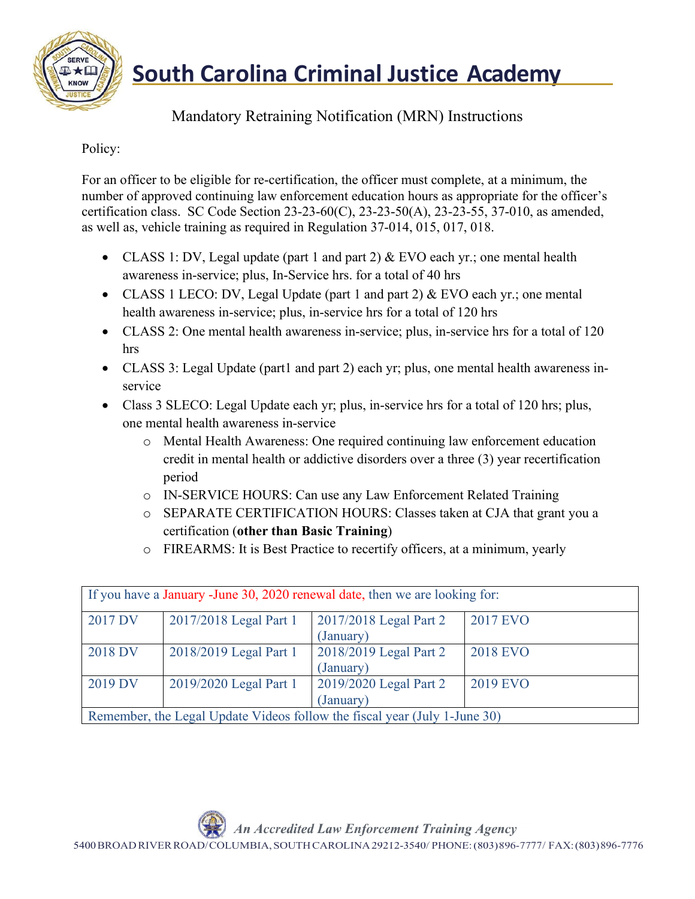

**South Carolina Criminal Justice Academy** 

## Mandatory Retraining Notification (MRN) Instructions

## Policy:

For an officer to be eligible for re-certification, the officer must complete, at a minimum, the number of approved continuing law enforcement education hours as appropriate for the officer's certification class. SC Code Section 23-23-60(C), 23-23-50(A), 23-23-55, 37-010, as amended, as well as, vehicle training as required in Regulation 37-014, 015, 017, 018.

- CLASS 1: DV, Legal update (part 1 and part 2)  $&$  EVO each yr.; one mental health awareness in-service; plus, In-Service hrs. for a total of 40 hrs
- CLASS 1 LECO: DV, Legal Update (part 1 and part 2) & EVO each yr.; one mental health awareness in-service; plus, in-service hrs for a total of 120 hrs
- CLASS 2: One mental health awareness in-service; plus, in-service hrs for a total of 120 hrs
- CLASS 3: Legal Update (part1 and part 2) each yr; plus, one mental health awareness inservice
- Class 3 SLECO: Legal Update each yr; plus, in-service hrs for a total of 120 hrs; plus, one mental health awareness in-service
	- o Mental Health Awareness: One required continuing law enforcement education credit in mental health or addictive disorders over a three (3) year recertification period
	- o IN-SERVICE HOURS: Can use any Law Enforcement Related Training
	- o SEPARATE CERTIFICATION HOURS: Classes taken at CJA that grant you a certification (**other than Basic Training**)
	- o FIREARMS: It is Best Practice to recertify officers, at a minimum, yearly

|         |                        | If you have a January -June 30, 2020 renewal date, then we are looking for: |                 |
|---------|------------------------|-----------------------------------------------------------------------------|-----------------|
| 2017 DV | 2017/2018 Legal Part 1 | 2017/2018 Legal Part 2                                                      | 2017 EVO        |
|         |                        | (January)                                                                   |                 |
| 2018 DV | 2018/2019 Legal Part 1 | 2018/2019 Legal Part 2                                                      | <b>2018 EVO</b> |
|         |                        | (January)                                                                   |                 |
| 2019 DV | 2019/2020 Legal Part 1 | 2019/2020 Legal Part 2                                                      | 2019 EVO        |
|         |                        | (January)                                                                   |                 |
|         |                        | Remember, the Legal Update Videos follow the fiscal year (July 1-June 30)   |                 |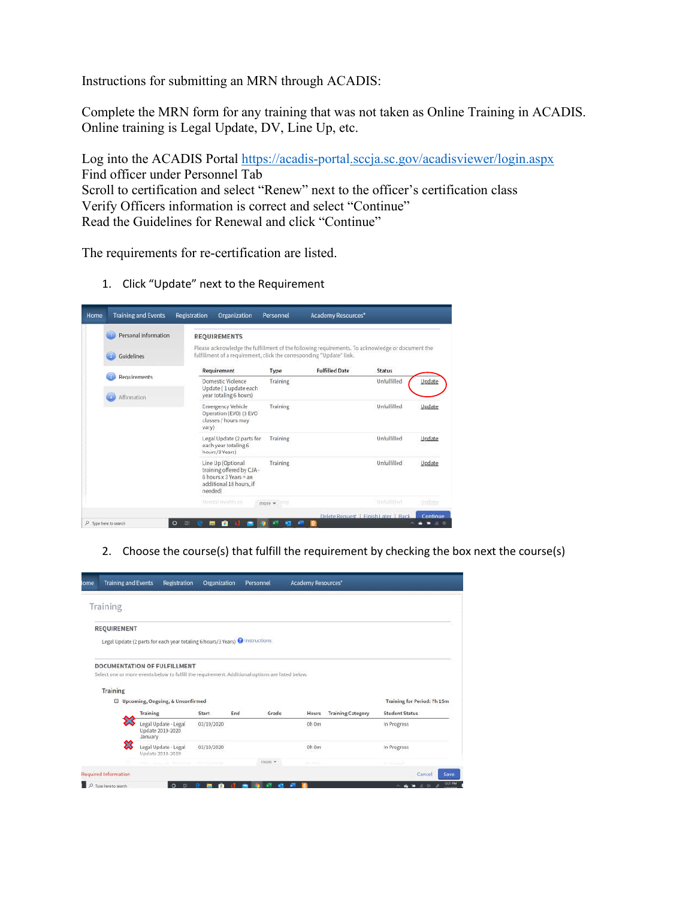Instructions for submitting an MRN through ACADIS:

Complete the MRN form for any training that was not taken as Online Training in ACADIS. Online training is Legal Update, DV, Line Up, etc.

Log into the ACADIS Portal https://acadis-portal.sccja.sc.gov/acadisviewer/login.aspx Find officer under Personnel Tab Scroll to certification and select "Renew" next to the officer's certification class Verify Officers information is correct and select "Continue" Read the Guidelines for Renewal and click "Continue"

The requirements for re-certification are listed.

1. Click "Update" next to the Requirement

| Home | <b>Training and Events</b>  | Registration             | Organization                                                                                        | Personnel  | Academy Resources*                                                                                                                                                       |               |               |
|------|-----------------------------|--------------------------|-----------------------------------------------------------------------------------------------------|------------|--------------------------------------------------------------------------------------------------------------------------------------------------------------------------|---------------|---------------|
|      | Personal Information        |                          | <b>REQUIREMENTS</b>                                                                                 |            |                                                                                                                                                                          |               |               |
|      | Guidelines                  |                          |                                                                                                     |            | Please acknowledge the fulfillment of the following requirements. To acknowledge or document the<br>fulfillment of a requirement, click the corresponding "Update" link, |               |               |
|      |                             |                          | Requirement                                                                                         | Type       | <b>Fulfilled Date</b>                                                                                                                                                    | <b>Status</b> |               |
|      | Requirements<br>Affirmation |                          | Domestic Violence<br>Update (1 update each<br>year totaling 6 hours)                                | Training   |                                                                                                                                                                          | Unfulfilled   | Update        |
|      |                             | vary)                    | <b>Emergency Vehicle</b><br>Operation (EVO) (3 EVO)<br>classes / hours may                          | Training   |                                                                                                                                                                          | Unfulfilled   | Update        |
|      |                             |                          | Legal Update (2 parts for<br>each year totaling 6<br>hours/3 Years)                                 | Training   |                                                                                                                                                                          | Unfulfilled   | Update        |
|      |                             | needed)                  | Line Up (Optional<br>training offered by CJA -<br>6 hours x 3 Years = an<br>additional 18 hours, if | Training   |                                                                                                                                                                          | Unfulfilled   | Update        |
|      |                             |                          | Mental Health on                                                                                    | more . ITT |                                                                                                                                                                          | bollittided   | <b>Undate</b> |
|      | P Type here to search       | $\circ$<br><b>m</b><br>- | ŵ                                                                                                   |            | Delete Request   Finish Later   Back                                                                                                                                     |               | Continue      |

2. Choose the course(s) that fulfill the requirement by checking the box next the course(s)

| Training           |              |                                                                                                                                         |                   |     |        |             |                          |                                                      |
|--------------------|--------------|-----------------------------------------------------------------------------------------------------------------------------------------|-------------------|-----|--------|-------------|--------------------------|------------------------------------------------------|
| <b>REQUIREMENT</b> |              |                                                                                                                                         |                   |     |        |             |                          |                                                      |
|                    |              | Legal Update (2 parts for each year totaling 6 hours/3 Years) @ Instructions                                                            |                   |     |        |             |                          |                                                      |
|                    |              |                                                                                                                                         |                   |     |        |             |                          |                                                      |
|                    |              | <b>DOCUMENTATION OF FULFILLMENT</b><br>Select one or more events below to fulfill the requirement. Additional options are listed below. |                   |     |        |             |                          |                                                      |
|                    |              |                                                                                                                                         |                   |     |        |             |                          |                                                      |
| <b>Training</b>    |              |                                                                                                                                         |                   |     |        |             |                          |                                                      |
|                    |              |                                                                                                                                         |                   |     |        |             |                          |                                                      |
|                    | Training     | D Upcoming, Ongoing, & Unconfirmed                                                                                                      | Start             | End | Grade  | Hours       | <b>Training Category</b> | Training for Period: 7h 15m<br><b>Student Status</b> |
|                    | ╳<br>January | Legal Update - Legal<br>Update 2019-2020                                                                                                | 03/19/2020        |     |        | 0h 0m       |                          | In Progress                                          |
|                    | జ            | Legal Update - Legal<br>Undate 2018-2019                                                                                                | 03/19/2020        |     |        | 0h 0m       |                          | In Progress                                          |
|                    |              | Post in Konstantial   Bilderbook at                                                                                                     | ting 11 is posted |     | more * | dillo money |                          | <b>Richmond</b>                                      |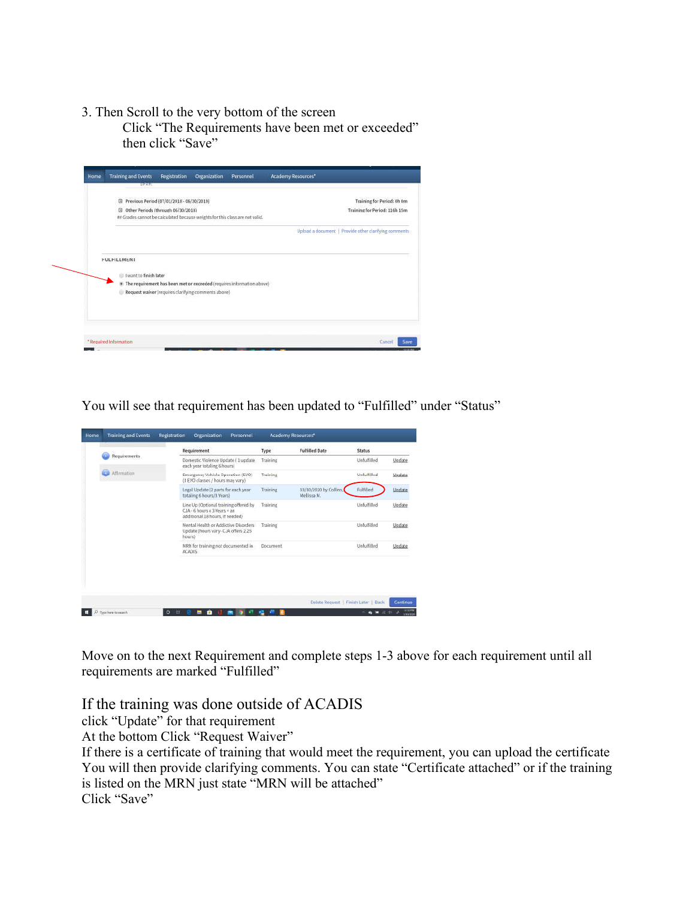3. Then Scroll to the very bottom of the screen

Click "The Requirements have been met or exceeded" then click "Save"



You will see that requirement has been updated to "Fulfilled" under "Status"

|                  | Requirement                                                                                                     | Type     | <b>Fulfilled Date</b>                 | <b>Status</b> |        |
|------------------|-----------------------------------------------------------------------------------------------------------------|----------|---------------------------------------|---------------|--------|
| Requirements     | Domestic Violence Update (1 update)<br>each year totaling 6 hours)                                              | Training |                                       | Unfulfilled   | Undate |
| m<br>Affirmation | Emergency Vehicle Operation (EVO)<br>(3 EVO classes / hours may vary)                                           | Training |                                       | Unfulfilled   | Undate |
|                  | Legal Update (2 parts for each year.<br>totaling 6 hours/3 Years)                                               | Training | 03/30/2020 by Collins.<br>Mellissa M. | Fulfilled     | Update |
|                  | Line Up (Optional training offered by<br>$CJA - 6 hours \times 3 Years = an$<br>additional 18 hours, if needed) | Training |                                       | Unfulfilled   | Update |
|                  | Mental Health or Addictive Disorders<br>Update (hours vary- CJA offers 2.25<br>hours)                           | Training |                                       | Unfulfilled   | Update |
|                  | MRN for training not documented in<br><b>ACADIS</b>                                                             | Document |                                       | Unfulfilled   | Update |
|                  |                                                                                                                 |          |                                       |               |        |

Move on to the next Requirement and complete steps 1-3 above for each requirement until all requirements are marked "Fulfilled"

If the training was done outside of ACADIS

click "Update" for that requirement

At the bottom Click "Request Waiver"

If there is a certificate of training that would meet the requirement, you can upload the certificate You will then provide clarifying comments. You can state "Certificate attached" or if the training is listed on the MRN just state "MRN will be attached" Click "Save"